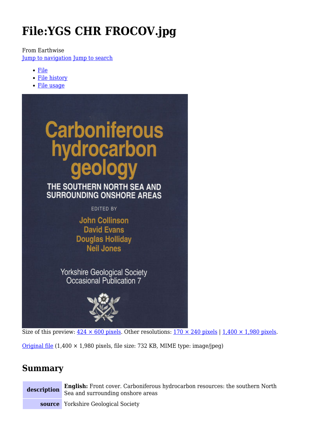# **File:YGS CHR FROCOV.jpg**

From Earthwise [Jump to navigation](#page--1-0) [Jump to search](#page--1-0)

- [File](#page--1-0)
- [File history](#page--1-0)
- [File usage](#page--1-0)





Size of this preview:  $424 \times 600$  pixels. Other resolutions:  $170 \times 240$  pixels |  $1,400 \times 1,980$  pixels.

[Original file](http://earthwise.bgs.ac.uk/images/7/79/YGS_CHR_FROCOV.jpg)  $(1,400 \times 1,980$  pixels, file size: 732 KB, MIME type: image/jpeg)

## **Summary**

**description English:** Front cover. Carboniferous hydrocarbon resources: the southern North Sea and surrounding onshore areas

**source** Yorkshire Geological Society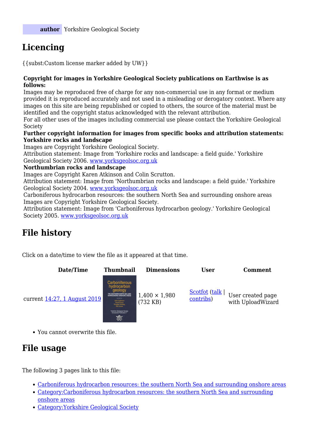# **Licencing**

{{subst:Custom license marker added by UW}}

#### **Copyright for images in Yorkshire Geological Society publications on Earthwise is as follows:**

Images may be reproduced free of charge for any non-commercial use in any format or medium provided it is reproduced accurately and not used in a misleading or derogatory context. Where any images on this site are being republished or copied to others, the source of the material must be identified and the copyright status acknowledged with the relevant attribution.

For all other uses of the images including commercial use please contact the Yorkshire Geological Society

#### **Further copyright information for images from specific books and attribution statements: Yorkshire rocks and landscape**

Images are Copyright Yorkshire Geological Society.

Attribution statement: Image from 'Yorkshire rocks and landscape: a field guide.' Yorkshire Geological Society 2006. [www.yorksgeolsoc.org.uk](http://www.yorksgeolsoc.org.uk)

#### **Northumbrian rocks and landscape**

Images are Copyright Karen Atkinson and Colin Scrutton.

Attribution statement: Image from 'Northumbrian rocks and landscape: a field guide.' Yorkshire Geological Society 2004. [www.yorksgeolsoc.org.uk](http://www.yorksgeolsoc.org.uk)

Carboniferous hydrocarbon resources: the southern North Sea and surrounding onshore areas Images are Copyright Yorkshire Geological Society.

Attribution statement: Image from 'Carboniferous hydrocarbon geology.' Yorkshire Geological Society 2005. [www.yorksgeolsoc.org.uk](http://www.yorksgeolsoc.org.uk)

# **File history**

Click on a date/time to view the file as it appeared at that time.



You cannot overwrite this file.

## **File usage**

The following 3 pages link to this file:

- [Carboniferous hydrocarbon resources: the southern North Sea and surrounding onshore areas](http://earthwise.bgs.ac.uk/index.php/Carboniferous_hydrocarbon_resources:_the_southern_North_Sea_and_surrounding_onshore_areas)
- [Category:Carboniferous hydrocarbon resources: the southern North Sea and surrounding](http://earthwise.bgs.ac.uk/index.php/Category:Carboniferous_hydrocarbon_resources:_the_southern_North_Sea_and_surrounding_onshore_areas) [onshore areas](http://earthwise.bgs.ac.uk/index.php/Category:Carboniferous_hydrocarbon_resources:_the_southern_North_Sea_and_surrounding_onshore_areas)
- [Category:Yorkshire Geological Society](http://earthwise.bgs.ac.uk/index.php/Category:Yorkshire_Geological_Society)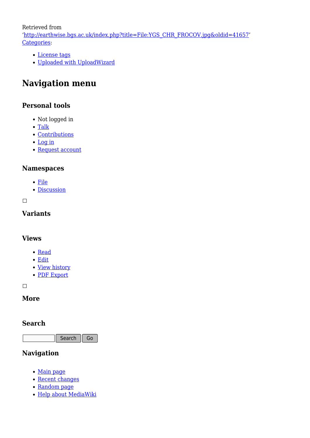Retrieved from

'[http://earthwise.bgs.ac.uk/index.php?title=File:YGS\\_CHR\\_FROCOV.jpg&oldid=41657](http://earthwise.bgs.ac.uk/index.php?title=File:YGS_CHR_FROCOV.jpg&oldid=41657)' [Categories:](http://earthwise.bgs.ac.uk/index.php/Special:Categories)

- [License tags](http://earthwise.bgs.ac.uk/index.php/Category:License_tags)
- [Uploaded with UploadWizard](http://earthwise.bgs.ac.uk/index.php/Category:Uploaded_with_UploadWizard)

# **Navigation menu**

## **Personal tools**

- Not logged in
- [Talk](http://earthwise.bgs.ac.uk/index.php/Special:MyTalk)
- [Contributions](http://earthwise.bgs.ac.uk/index.php/Special:MyContributions)
- [Log in](http://earthwise.bgs.ac.uk/index.php?title=Special:UserLogin&returnto=File%3AYGS+CHR+FROCOV.jpg&returntoquery=action%3Dmpdf)
- [Request account](http://earthwise.bgs.ac.uk/index.php/Special:RequestAccount)

#### **Namespaces**

- [File](http://earthwise.bgs.ac.uk/index.php/File:YGS_CHR_FROCOV.jpg)
- [Discussion](http://earthwise.bgs.ac.uk/index.php?title=File_talk:YGS_CHR_FROCOV.jpg&action=edit&redlink=1)

 $\overline{\phantom{a}}$ 

## **Variants**

#### **Views**

- [Read](http://earthwise.bgs.ac.uk/index.php/File:YGS_CHR_FROCOV.jpg)
- [Edit](http://earthwise.bgs.ac.uk/index.php?title=File:YGS_CHR_FROCOV.jpg&action=edit)
- [View history](http://earthwise.bgs.ac.uk/index.php?title=File:YGS_CHR_FROCOV.jpg&action=history)
- [PDF Export](http://earthwise.bgs.ac.uk/index.php?title=File:YGS_CHR_FROCOV.jpg&action=mpdf)

 $\Box$ 

#### **More**

#### **Search**

Search  $\parallel$  Go

## **Navigation**

- [Main page](http://earthwise.bgs.ac.uk/index.php/Main_Page)
- [Recent changes](http://earthwise.bgs.ac.uk/index.php/Special:RecentChanges)
- [Random page](http://earthwise.bgs.ac.uk/index.php/Special:Random)
- [Help about MediaWiki](https://www.mediawiki.org/wiki/Special:MyLanguage/Help:Contents)